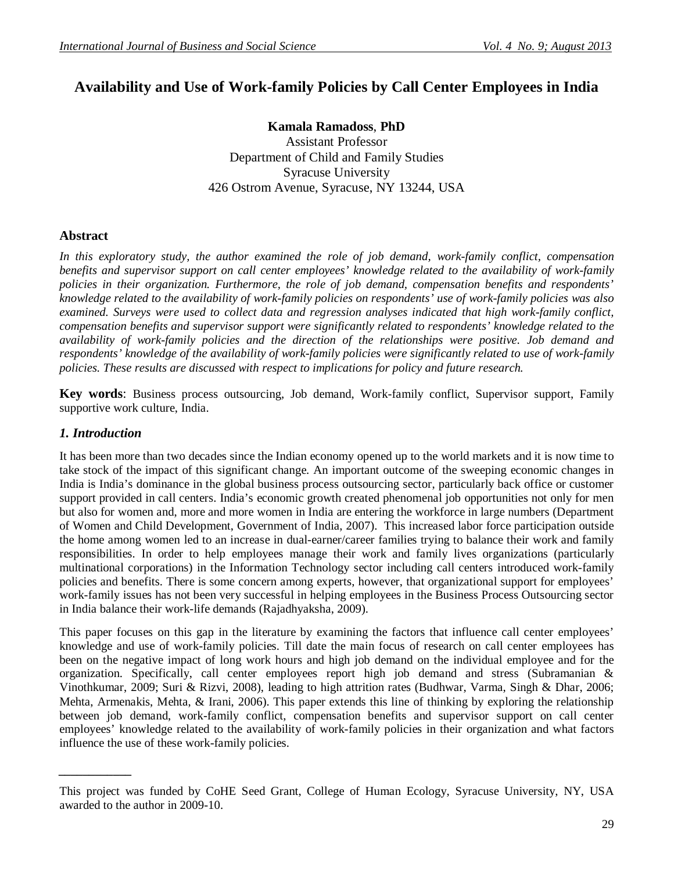# **Availability and Use of Work-family Policies by Call Center Employees in India**

**Kamala Ramadoss**, **PhD** Assistant Professor Department of Child and Family Studies Syracuse University 426 Ostrom Avenue, Syracuse, NY 13244, USA

# **Abstract**

*In this exploratory study, the author examined the role of job demand, work-family conflict, compensation benefits and supervisor support on call center employees' knowledge related to the availability of work-family policies in their organization. Furthermore, the role of job demand, compensation benefits and respondents' knowledge related to the availability of work-family policies on respondents' use of work-family policies was also examined. Surveys were used to collect data and regression analyses indicated that high work-family conflict, compensation benefits and supervisor support were significantly related to respondents' knowledge related to the availability of work-family policies and the direction of the relationships were positive. Job demand and respondents' knowledge of the availability of work-family policies were significantly related to use of work-family policies. These results are discussed with respect to implications for policy and future research.*

**Key words**: Business process outsourcing, Job demand, Work-family conflict, Supervisor support, Family supportive work culture, India.

#### *1. Introduction*

*\_\_\_\_\_\_\_\_\_\_\_\_*

It has been more than two decades since the Indian economy opened up to the world markets and it is now time to take stock of the impact of this significant change. An important outcome of the sweeping economic changes in India is India's dominance in the global business process outsourcing sector, particularly back office or customer support provided in call centers. India's economic growth created phenomenal job opportunities not only for men but also for women and, more and more women in India are entering the workforce in large numbers (Department of Women and Child Development, Government of India, 2007). This increased labor force participation outside the home among women led to an increase in dual-earner/career families trying to balance their work and family responsibilities. In order to help employees manage their work and family lives organizations (particularly multinational corporations) in the Information Technology sector including call centers introduced work-family policies and benefits. There is some concern among experts, however, that organizational support for employees' work-family issues has not been very successful in helping employees in the Business Process Outsourcing sector in India balance their work-life demands (Rajadhyaksha, 2009).

This paper focuses on this gap in the literature by examining the factors that influence call center employees' knowledge and use of work-family policies. Till date the main focus of research on call center employees has been on the negative impact of long work hours and high job demand on the individual employee and for the organization. Specifically, call center employees report high job demand and stress (Subramanian & Vinothkumar, 2009; Suri & Rizvi, 2008), leading to high attrition rates (Budhwar, Varma, Singh & Dhar, 2006; Mehta, Armenakis, Mehta, & Irani, 2006). This paper extends this line of thinking by exploring the relationship between job demand, work-family conflict, compensation benefits and supervisor support on call center employees' knowledge related to the availability of work-family policies in their organization and what factors influence the use of these work-family policies.

This project was funded by CoHE Seed Grant, College of Human Ecology, Syracuse University, NY, USA awarded to the author in 2009-10.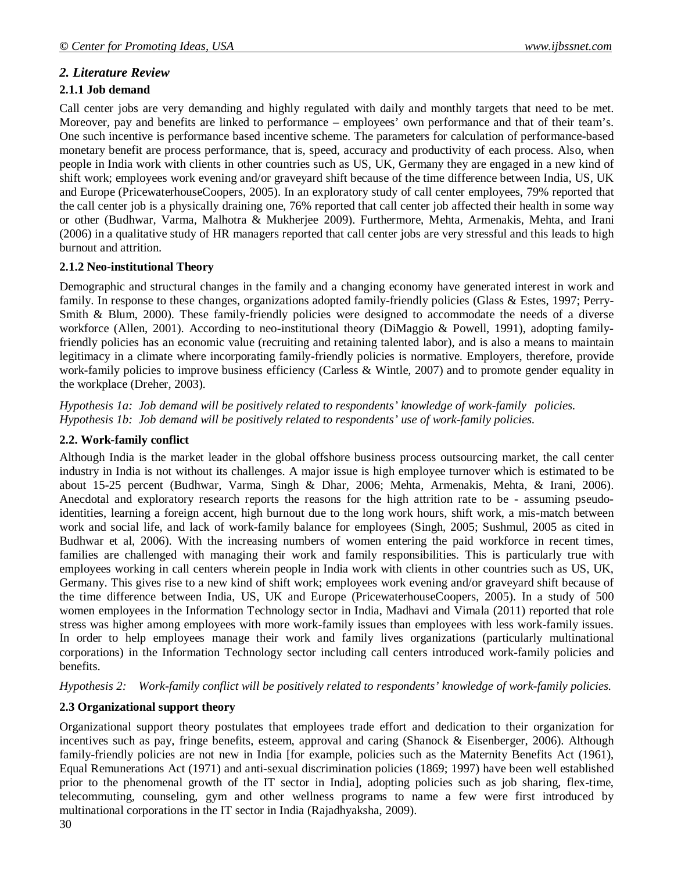# *2. Literature Review*

#### **2.1.1 Job demand**

Call center jobs are very demanding and highly regulated with daily and monthly targets that need to be met. Moreover, pay and benefits are linked to performance – employees' own performance and that of their team's. One such incentive is performance based incentive scheme. The parameters for calculation of performance-based monetary benefit are process performance, that is, speed, accuracy and productivity of each process. Also, when people in India work with clients in other countries such as US, UK, Germany they are engaged in a new kind of shift work; employees work evening and/or graveyard shift because of the time difference between India, US, UK and Europe (PricewaterhouseCoopers, 2005). In an exploratory study of call center employees, 79% reported that the call center job is a physically draining one, 76% reported that call center job affected their health in some way or other (Budhwar, Varma, Malhotra & Mukherjee 2009). Furthermore, Mehta, Armenakis, Mehta, and Irani (2006) in a qualitative study of HR managers reported that call center jobs are very stressful and this leads to high burnout and attrition.

# **2.1.2 Neo-institutional Theory**

Demographic and structural changes in the family and a changing economy have generated interest in work and family. In response to these changes, organizations adopted family-friendly policies (Glass & Estes, 1997; Perry-Smith & Blum, 2000). These family-friendly policies were designed to accommodate the needs of a diverse workforce (Allen, 2001). According to neo-institutional theory (DiMaggio & Powell, 1991), adopting familyfriendly policies has an economic value (recruiting and retaining talented labor), and is also a means to maintain legitimacy in a climate where incorporating family-friendly policies is normative. Employers, therefore, provide work-family policies to improve business efficiency (Carless & Wintle, 2007) and to promote gender equality in the workplace (Dreher, 2003).

*Hypothesis 1a: Job demand will be positively related to respondents' knowledge of work-family policies. Hypothesis 1b: Job demand will be positively related to respondents' use of work-family policies.*

#### **2.2. Work-family conflict**

Although India is the market leader in the global offshore business process outsourcing market, the call center industry in India is not without its challenges. A major issue is high employee turnover which is estimated to be about 15-25 percent (Budhwar, Varma, Singh & Dhar, 2006; Mehta, Armenakis, Mehta, & Irani, 2006). Anecdotal and exploratory research reports the reasons for the high attrition rate to be - assuming pseudoidentities, learning a foreign accent, high burnout due to the long work hours, shift work, a mis-match between work and social life, and lack of work-family balance for employees (Singh, 2005; Sushmul, 2005 as cited in Budhwar et al, 2006). With the increasing numbers of women entering the paid workforce in recent times, families are challenged with managing their work and family responsibilities. This is particularly true with employees working in call centers wherein people in India work with clients in other countries such as US, UK, Germany. This gives rise to a new kind of shift work; employees work evening and/or graveyard shift because of the time difference between India, US, UK and Europe (PricewaterhouseCoopers, 2005). In a study of 500 women employees in the Information Technology sector in India, Madhavi and Vimala (2011) reported that role stress was higher among employees with more work-family issues than employees with less work-family issues. In order to help employees manage their work and family lives organizations (particularly multinational corporations) in the Information Technology sector including call centers introduced work-family policies and benefits.

*Hypothesis 2: Work-family conflict will be positively related to respondents' knowledge of work-family policies.*

# **2.3 Organizational support theory**

Organizational support theory postulates that employees trade effort and dedication to their organization for incentives such as pay, fringe benefits, esteem, approval and caring (Shanock & Eisenberger, 2006). Although family-friendly policies are not new in India [for example, policies such as the Maternity Benefits Act (1961), Equal Remunerations Act (1971) and anti-sexual discrimination policies (1869; 1997) have been well established prior to the phenomenal growth of the IT sector in India], adopting policies such as job sharing, flex-time, telecommuting, counseling, gym and other wellness programs to name a few were first introduced by multinational corporations in the IT sector in India (Rajadhyaksha, 2009).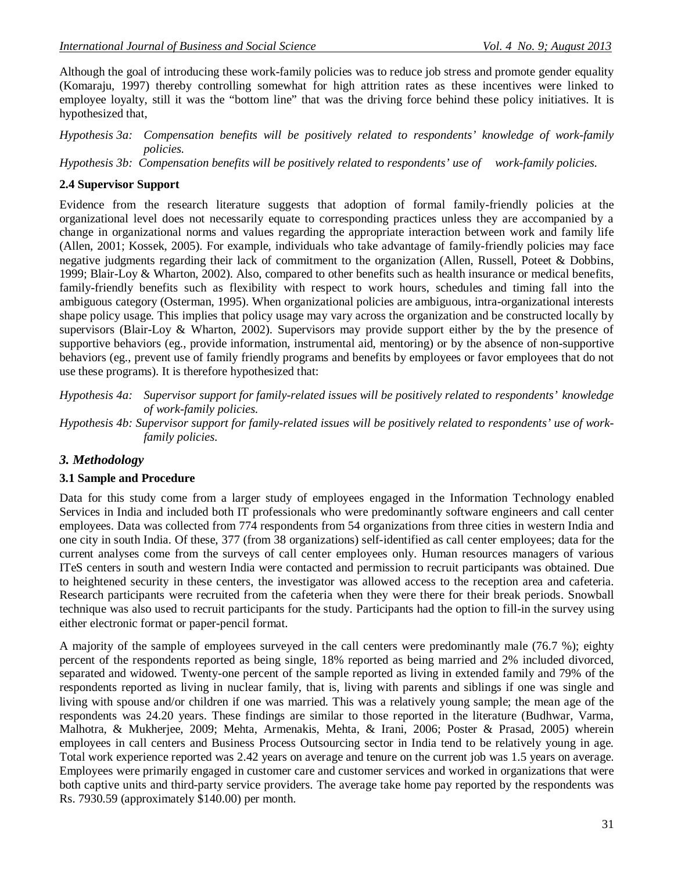Although the goal of introducing these work-family policies was to reduce job stress and promote gender equality (Komaraju, 1997) thereby controlling somewhat for high attrition rates as these incentives were linked to employee loyalty, still it was the "bottom line" that was the driving force behind these policy initiatives. It is hypothesized that,

*Hypothesis 3a: Compensation benefits will be positively related to respondents' knowledge of work-family policies.*

*Hypothesis 3b: Compensation benefits will be positively related to respondents' use of work-family policies.*

#### **2.4 Supervisor Support**

Evidence from the research literature suggests that adoption of formal family-friendly policies at the organizational level does not necessarily equate to corresponding practices unless they are accompanied by a change in organizational norms and values regarding the appropriate interaction between work and family life (Allen, 2001; Kossek, 2005). For example, individuals who take advantage of family-friendly policies may face negative judgments regarding their lack of commitment to the organization (Allen, Russell, Poteet & Dobbins, 1999; Blair-Loy & Wharton, 2002). Also, compared to other benefits such as health insurance or medical benefits, family-friendly benefits such as flexibility with respect to work hours, schedules and timing fall into the ambiguous category (Osterman, 1995). When organizational policies are ambiguous, intra-organizational interests shape policy usage. This implies that policy usage may vary across the organization and be constructed locally by supervisors (Blair-Loy & Wharton, 2002). Supervisors may provide support either by the by the presence of supportive behaviors (eg., provide information, instrumental aid, mentoring) or by the absence of non-supportive behaviors (eg., prevent use of family friendly programs and benefits by employees or favor employees that do not use these programs). It is therefore hypothesized that:

*Hypothesis 4a: Supervisor support for family-related issues will be positively related to respondents' knowledge of work-family policies.*

*Hypothesis 4b: Supervisor support for family-related issues will be positively related to respondents' use of workfamily policies.*

#### *3. Methodology*

#### **3.1 Sample and Procedure**

Data for this study come from a larger study of employees engaged in the Information Technology enabled Services in India and included both IT professionals who were predominantly software engineers and call center employees. Data was collected from 774 respondents from 54 organizations from three cities in western India and one city in south India. Of these, 377 (from 38 organizations) self-identified as call center employees; data for the current analyses come from the surveys of call center employees only. Human resources managers of various ITeS centers in south and western India were contacted and permission to recruit participants was obtained. Due to heightened security in these centers, the investigator was allowed access to the reception area and cafeteria. Research participants were recruited from the cafeteria when they were there for their break periods. Snowball technique was also used to recruit participants for the study. Participants had the option to fill-in the survey using either electronic format or paper-pencil format.

A majority of the sample of employees surveyed in the call centers were predominantly male (76.7 %); eighty percent of the respondents reported as being single, 18% reported as being married and 2% included divorced, separated and widowed. Twenty-one percent of the sample reported as living in extended family and 79% of the respondents reported as living in nuclear family, that is, living with parents and siblings if one was single and living with spouse and/or children if one was married. This was a relatively young sample; the mean age of the respondents was 24.20 years. These findings are similar to those reported in the literature (Budhwar, Varma, Malhotra, & Mukherjee, 2009; Mehta, Armenakis, Mehta, & Irani, 2006; Poster & Prasad, 2005) wherein employees in call centers and Business Process Outsourcing sector in India tend to be relatively young in age. Total work experience reported was 2.42 years on average and tenure on the current job was 1.5 years on average. Employees were primarily engaged in customer care and customer services and worked in organizations that were both captive units and third-party service providers. The average take home pay reported by the respondents was Rs. 7930.59 (approximately \$140.00) per month.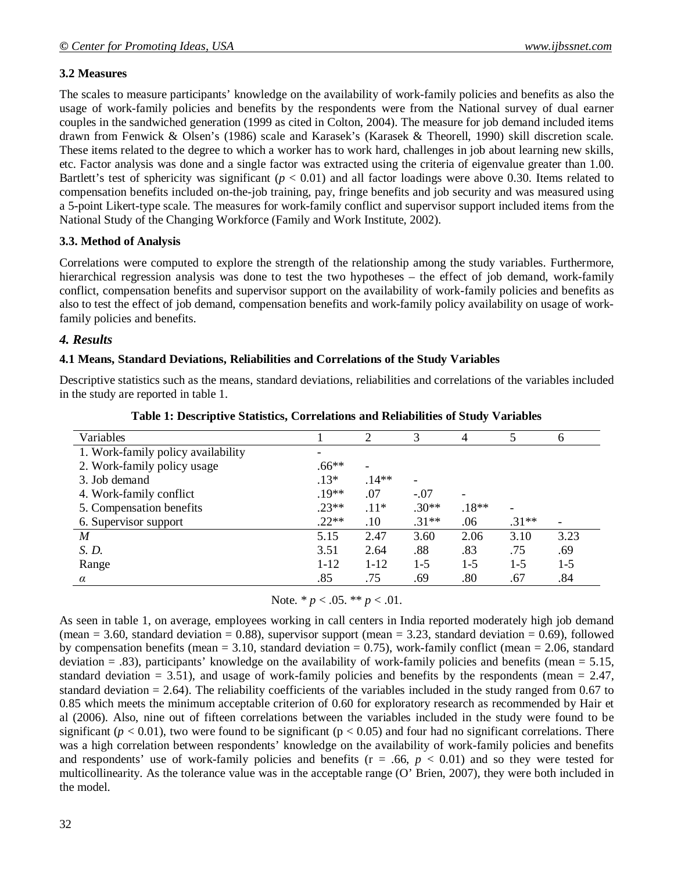# **3.2 Measures**

The scales to measure participants' knowledge on the availability of work-family policies and benefits as also the usage of work-family policies and benefits by the respondents were from the National survey of dual earner couples in the sandwiched generation (1999 as cited in Colton, 2004). The measure for job demand included items drawn from Fenwick & Olsen's (1986) scale and Karasek's (Karasek & Theorell, 1990) skill discretion scale. These items related to the degree to which a worker has to work hard, challenges in job about learning new skills, etc. Factor analysis was done and a single factor was extracted using the criteria of eigenvalue greater than 1.00. Bartlett's test of sphericity was significant  $(p < 0.01)$  and all factor loadings were above 0.30. Items related to compensation benefits included on-the-job training, pay, fringe benefits and job security and was measured using a 5-point Likert-type scale. The measures for work-family conflict and supervisor support included items from the National Study of the Changing Workforce (Family and Work Institute, 2002).

# **3.3. Method of Analysis**

Correlations were computed to explore the strength of the relationship among the study variables. Furthermore, hierarchical regression analysis was done to test the two hypotheses – the effect of job demand, work-family conflict, compensation benefits and supervisor support on the availability of work-family policies and benefits as also to test the effect of job demand, compensation benefits and work-family policy availability on usage of workfamily policies and benefits.

# *4. Results*

#### **4.1 Means, Standard Deviations, Reliabilities and Correlations of the Study Variables**

Descriptive statistics such as the means, standard deviations, reliabilities and correlations of the variables included in the study are reported in table 1.

| Variables                          |          | 2        | 3       | 4       | 5       | 6     |
|------------------------------------|----------|----------|---------|---------|---------|-------|
| 1. Work-family policy availability |          |          |         |         |         |       |
| 2. Work-family policy usage        | $.66**$  |          |         |         |         |       |
| 3. Job demand                      | $.13*$   | $.14**$  |         |         |         |       |
| 4. Work-family conflict            | $.19**$  | .07      | $-.07$  |         |         |       |
| 5. Compensation benefits           | $.23**$  | $.11*$   | $.30**$ | $.18**$ | ۰       |       |
| 6. Supervisor support              | $.22**$  | .10      | $.31**$ | .06     | $.31**$ |       |
| M                                  | 5.15     | 2.47     | 3.60    | 2.06    | 3.10    | 3.23  |
| S. D.                              | 3.51     | 2.64     | .88     | .83     | .75     | .69   |
| Range                              | $1 - 12$ | $1 - 12$ | $1-5$   | $1-5$   | $1-5$   | $1-5$ |
| $\alpha$                           | .85      | .75      | .69     | .80     | .67     | .84   |

Note. \* *p* < .05. \*\* *p* < .01.

As seen in table 1, on average, employees working in call centers in India reported moderately high job demand (mean = 3.60, standard deviation = 0.88), supervisor support (mean = 3.23, standard deviation = 0.69), followed by compensation benefits (mean  $= 3.10$ , standard deviation  $= 0.75$ ), work-family conflict (mean  $= 2.06$ , standard deviation  $= 0.83$ ), participants' knowledge on the availability of work-family policies and benefits (mean  $= 5.15$ , standard deviation = 3.51), and usage of work-family policies and benefits by the respondents (mean = 2.47, standard deviation  $= 2.64$ ). The reliability coefficients of the variables included in the study ranged from 0.67 to 0.85 which meets the minimum acceptable criterion of 0.60 for exploratory research as recommended by Hair et al (2006). Also, nine out of fifteen correlations between the variables included in the study were found to be significant ( $p < 0.01$ ), two were found to be significant ( $p < 0.05$ ) and four had no significant correlations. There was a high correlation between respondents' knowledge on the availability of work-family policies and benefits and respondents' use of work-family policies and benefits  $(r = .66, p < 0.01)$  and so they were tested for multicollinearity. As the tolerance value was in the acceptable range (O' Brien, 2007), they were both included in the model.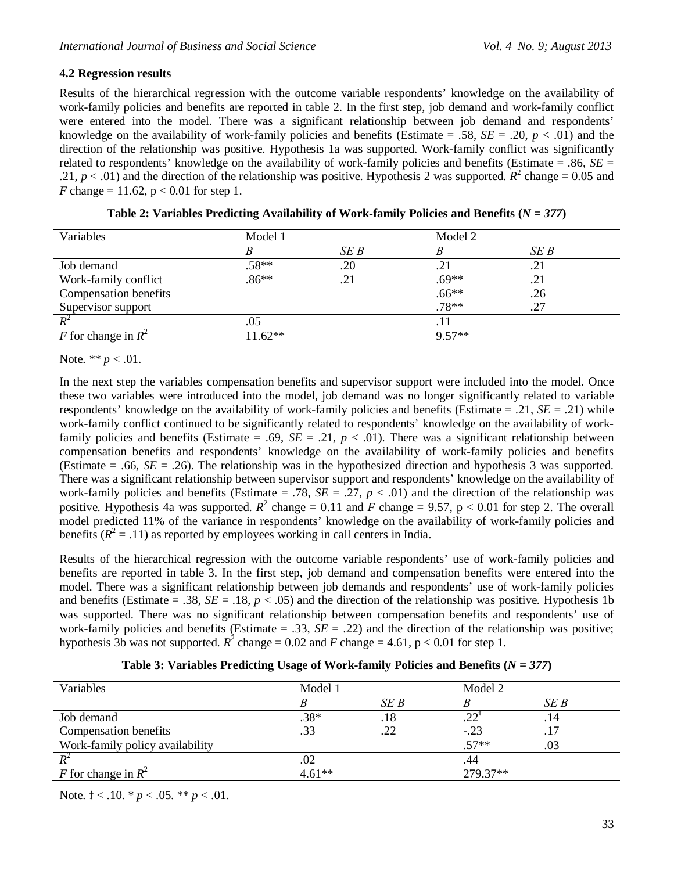#### **4.2 Regression results**

Results of the hierarchical regression with the outcome variable respondents' knowledge on the availability of work-family policies and benefits are reported in table 2. In the first step, job demand and work-family conflict were entered into the model. There was a significant relationship between job demand and respondents' knowledge on the availability of work-family policies and benefits (Estimate = .58,  $SE = .20$ ,  $p < .01$ ) and the direction of the relationship was positive. Hypothesis 1a was supported. Work-family conflict was significantly related to respondents' knowledge on the availability of work-family policies and benefits (Estimate = .86, *SE* = .21,  $p < .01$ ) and the direction of the relationship was positive. Hypothesis 2 was supported.  $R^2$  change = 0.05 and *F* change = 11.62,  $p < 0.01$  for step 1.

| Variables             | Model 1  |      | Model 2  |      |
|-----------------------|----------|------|----------|------|
|                       |          | SE B |          | SE B |
| Job demand            | $.58**$  | .20  | .21      | .21  |
| Work-family conflict  | $.86**$  | .21  | $.69**$  | .21  |
| Compensation benefits |          |      | $.66**$  | .26  |
| Supervisor support    |          |      | $.78**$  | .27  |
|                       | .05      |      | .11      |      |
| F for change in $R^2$ | $1.62**$ |      | $9.57**$ |      |

| Table 2: Variables Predicting Availability of Work-family Policies and Benefits ( $N = 377$ ) |  |  |
|-----------------------------------------------------------------------------------------------|--|--|
|-----------------------------------------------------------------------------------------------|--|--|

Note. \*\* *p* < .01.

In the next step the variables compensation benefits and supervisor support were included into the model. Once these two variables were introduced into the model, job demand was no longer significantly related to variable respondents' knowledge on the availability of work-family policies and benefits (Estimate = .21, *SE* = .21) while work-family conflict continued to be significantly related to respondents' knowledge on the availability of workfamily policies and benefits (Estimate = .69,  $SE = .21$ ,  $p < .01$ ). There was a significant relationship between compensation benefits and respondents' knowledge on the availability of work-family policies and benefits (Estimate = .66, *SE* = .26). The relationship was in the hypothesized direction and hypothesis 3 was supported. There was a significant relationship between supervisor support and respondents' knowledge on the availability of work-family policies and benefits (Estimate = .78,  $SE = .27$ ,  $p < .01$ ) and the direction of the relationship was positive. Hypothesis 4a was supported.  $R^2$  change = 0.11 and *F* change = 9.57, p < 0.01 for step 2. The overall model predicted 11% of the variance in respondents' knowledge on the availability of work-family policies and benefits  $(R^2 = .11)$  as reported by employees working in call centers in India.

Results of the hierarchical regression with the outcome variable respondents' use of work-family policies and benefits are reported in table 3. In the first step, job demand and compensation benefits were entered into the model. There was a significant relationship between job demands and respondents' use of work-family policies and benefits (Estimate = .38,  $SE = .18$ ,  $p < .05$ ) and the direction of the relationship was positive. Hypothesis 1b was supported. There was no significant relationship between compensation benefits and respondents' use of work-family policies and benefits (Estimate  $= .33$ ,  $SE = .22$ ) and the direction of the relationship was positive; hypothesis 3b was not supported.  $R^2$  change = 0.02 and *F* change = 4.61, p < 0.01 for step 1.

| Variables                       | Model 1  |      | Model 2  |      |
|---------------------------------|----------|------|----------|------|
|                                 |          | SE B |          | SEB  |
| Job demand                      | $.38*$   | .18  |          | . 14 |
| Compensation benefits           | .33      | .22  | $-.23$   | .17  |
| Work-family policy availability |          |      | $57**$   | .03  |
|                                 | .02      |      | .44      |      |
| F for change in $R^2$           | $4.61**$ |      | 279.37** |      |
|                                 |          |      |          |      |

**Table 3: Variables Predicting Usage of Work-family Policies and Benefits (***N = 377***)**

Note. † < .10. *\* p* < .05. *\*\* p* < .01.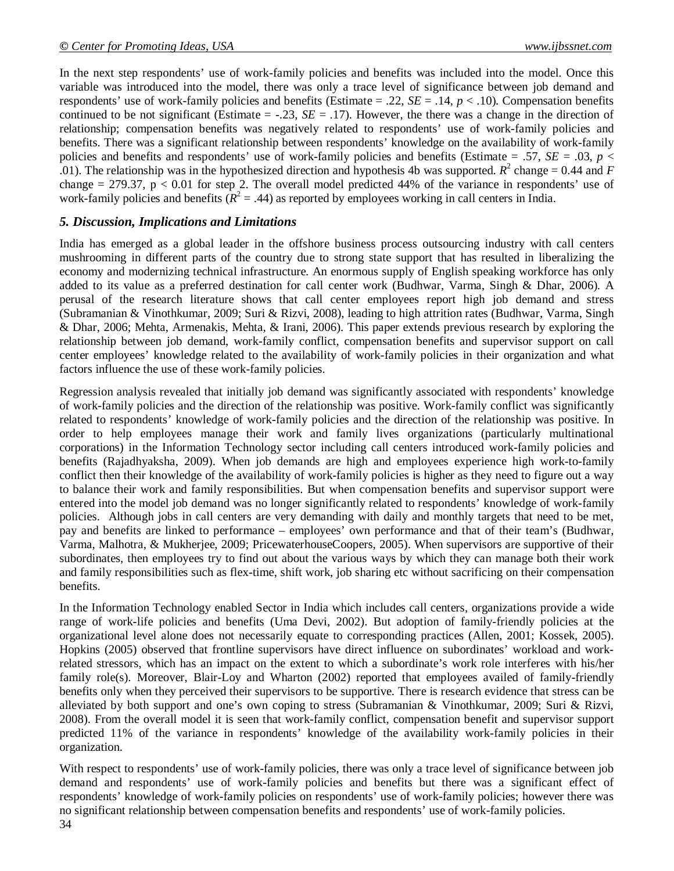In the next step respondents' use of work-family policies and benefits was included into the model. Once this variable was introduced into the model, there was only a trace level of significance between job demand and respondents' use of work-family policies and benefits (Estimate  $= .22$ ,  $SE = .14$ ,  $p < .10$ ). Compensation benefits continued to be not significant (Estimate  $=$  -.23, *SE*  $=$  .17). However, the there was a change in the direction of relationship; compensation benefits was negatively related to respondents' use of work-family policies and benefits. There was a significant relationship between respondents' knowledge on the availability of work-family policies and benefits and respondents' use of work-family policies and benefits (Estimate = .57, *SE* = .03, *p* < .01). The relationship was in the hypothesized direction and hypothesis 4b was supported.  $R^2$  change = 0.44 and *F* change  $= 279.37$ ,  $p < 0.01$  for step 2. The overall model predicted 44% of the variance in respondents' use of work-family policies and benefits  $(R^2 = .44)$  as reported by employees working in call centers in India.

#### *5. Discussion, Implications and Limitations*

India has emerged as a global leader in the offshore business process outsourcing industry with call centers mushrooming in different parts of the country due to strong state support that has resulted in liberalizing the economy and modernizing technical infrastructure. An enormous supply of English speaking workforce has only added to its value as a preferred destination for call center work (Budhwar, Varma, Singh & Dhar, 2006). A perusal of the research literature shows that call center employees report high job demand and stress (Subramanian & Vinothkumar, 2009; Suri & Rizvi, 2008), leading to high attrition rates (Budhwar, Varma, Singh & Dhar, 2006; Mehta, Armenakis, Mehta, & Irani, 2006). This paper extends previous research by exploring the relationship between job demand, work-family conflict, compensation benefits and supervisor support on call center employees' knowledge related to the availability of work-family policies in their organization and what factors influence the use of these work-family policies.

Regression analysis revealed that initially job demand was significantly associated with respondents' knowledge of work-family policies and the direction of the relationship was positive. Work-family conflict was significantly related to respondents' knowledge of work-family policies and the direction of the relationship was positive. In order to help employees manage their work and family lives organizations (particularly multinational corporations) in the Information Technology sector including call centers introduced work-family policies and benefits (Rajadhyaksha, 2009). When job demands are high and employees experience high work-to-family conflict then their knowledge of the availability of work-family policies is higher as they need to figure out a way to balance their work and family responsibilities. But when compensation benefits and supervisor support were entered into the model job demand was no longer significantly related to respondents' knowledge of work-family policies. Although jobs in call centers are very demanding with daily and monthly targets that need to be met, pay and benefits are linked to performance – employees' own performance and that of their team's (Budhwar, Varma, Malhotra, & Mukherjee, 2009; PricewaterhouseCoopers, 2005). When supervisors are supportive of their subordinates, then employees try to find out about the various ways by which they can manage both their work and family responsibilities such as flex-time, shift work, job sharing etc without sacrificing on their compensation benefits.

In the Information Technology enabled Sector in India which includes call centers, organizations provide a wide range of work-life policies and benefits (Uma Devi, 2002). But adoption of family-friendly policies at the organizational level alone does not necessarily equate to corresponding practices (Allen, 2001; Kossek, 2005). Hopkins (2005) observed that frontline supervisors have direct influence on subordinates' workload and workrelated stressors, which has an impact on the extent to which a subordinate's work role interferes with his/her family role(s). Moreover, Blair-Loy and Wharton (2002) reported that employees availed of family-friendly benefits only when they perceived their supervisors to be supportive. There is research evidence that stress can be alleviated by both support and one's own coping to stress (Subramanian & Vinothkumar, 2009; Suri & Rizvi, 2008). From the overall model it is seen that work-family conflict, compensation benefit and supervisor support predicted 11% of the variance in respondents' knowledge of the availability work-family policies in their organization.

With respect to respondents' use of work-family policies, there was only a trace level of significance between job demand and respondents' use of work-family policies and benefits but there was a significant effect of respondents' knowledge of work-family policies on respondents' use of work-family policies; however there was no significant relationship between compensation benefits and respondents' use of work-family policies.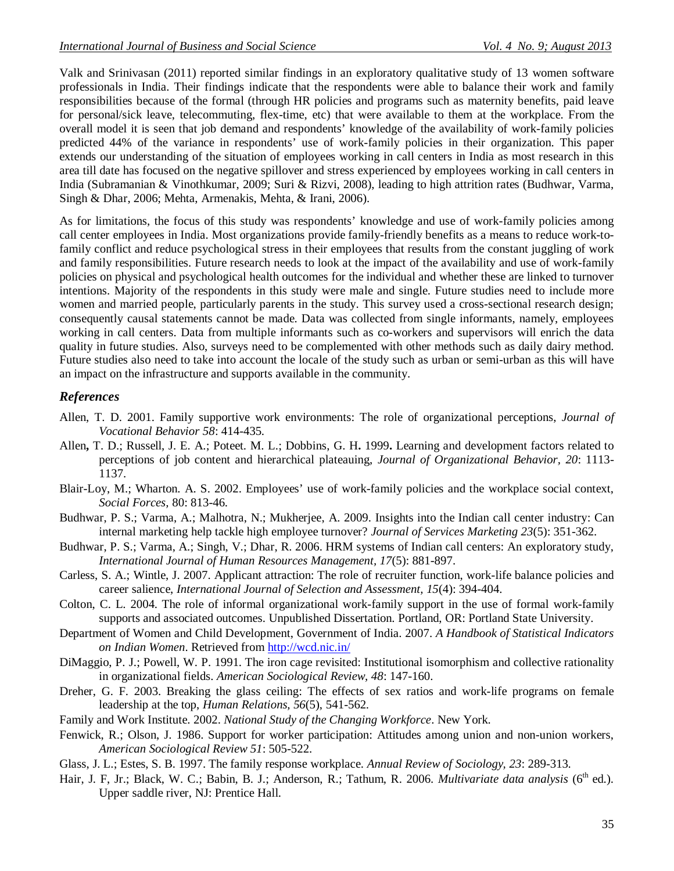Valk and Srinivasan (2011) reported similar findings in an exploratory qualitative study of 13 women software professionals in India. Their findings indicate that the respondents were able to balance their work and family responsibilities because of the formal (through HR policies and programs such as maternity benefits, paid leave for personal/sick leave, telecommuting, flex-time, etc) that were available to them at the workplace. From the overall model it is seen that job demand and respondents' knowledge of the availability of work-family policies predicted 44% of the variance in respondents' use of work-family policies in their organization. This paper extends our understanding of the situation of employees working in call centers in India as most research in this area till date has focused on the negative spillover and stress experienced by employees working in call centers in India (Subramanian & Vinothkumar, 2009; Suri & Rizvi, 2008), leading to high attrition rates (Budhwar, Varma, Singh & Dhar, 2006; Mehta, Armenakis, Mehta, & Irani, 2006).

As for limitations, the focus of this study was respondents' knowledge and use of work-family policies among call center employees in India. Most organizations provide family-friendly benefits as a means to reduce work-tofamily conflict and reduce psychological stress in their employees that results from the constant juggling of work and family responsibilities. Future research needs to look at the impact of the availability and use of work-family policies on physical and psychological health outcomes for the individual and whether these are linked to turnover intentions. Majority of the respondents in this study were male and single. Future studies need to include more women and married people, particularly parents in the study. This survey used a cross-sectional research design; consequently causal statements cannot be made. Data was collected from single informants, namely, employees working in call centers. Data from multiple informants such as co-workers and supervisors will enrich the data quality in future studies. Also, surveys need to be complemented with other methods such as daily dairy method. Future studies also need to take into account the locale of the study such as urban or semi-urban as this will have an impact on the infrastructure and supports available in the community.

# *References*

- Allen, T. D. 2001. Family supportive work environments: The role of organizational perceptions, *Journal of Vocational Behavior 58*: 414-435.
- Allen**,** T. D.; Russell, J. E. A.; Poteet. M. L.; Dobbins, G. H**.** 1999**.** Learning and development factors related to perceptions of job content and hierarchical plateauing, *Journal of Organizational Behavior, 20*: 1113- 1137.
- Blair-Loy, M.; Wharton. A. S. 2002. Employees' use of work-family policies and the workplace social context, *Social Forces,* 80: 813-46.
- Budhwar, P. S.; Varma, A.; Malhotra, N.; Mukherjee, A. 2009. Insights into the Indian call center industry: Can internal marketing help tackle high employee turnover? *Journal of Services Marketing 23*(5): 351-362.
- Budhwar, P. S.; Varma, A.; Singh, V.; Dhar, R. 2006. HRM systems of Indian call centers: An exploratory study, *International Journal of Human Resources Management, 17*(5): 881-897.
- Carless, S. A.; Wintle, J. 2007. Applicant attraction: The role of recruiter function, work-life balance policies and career salience, *International Journal of Selection and Assessment, 15*(4): 394-404.
- Colton, C. L. 2004. The role of informal organizational work-family support in the use of formal work-family supports and associated outcomes. Unpublished Dissertation. Portland, OR: Portland State University.
- Department of Women and Child Development, Government of India. 2007. *A Handbook of Statistical Indicators on Indian Women*. Retrieved from http://wcd.nic.in/
- DiMaggio, P. J.; Powell, W. P. 1991. The iron cage revisited: Institutional isomorphism and collective rationality in organizational fields. *American Sociological Review, 48*: 147-160.
- Dreher, G. F. 2003. Breaking the glass ceiling: The effects of sex ratios and work-life programs on female leadership at the top, *Human Relations, 56*(5), 541-562.
- Family and Work Institute. 2002. *National Study of the Changing Workforce*. New York.
- Fenwick, R.; Olson, J. 1986. Support for worker participation: Attitudes among union and non-union workers, *American Sociological Review 51*: 505-522.
- Glass, J. L.; Estes, S. B. 1997. The family response workplace. *Annual Review of Sociology, 23*: 289-313.
- Hair, J. F, Jr.; Black, W. C.; Babin, B. J.; Anderson, R.; Tathum, R. 2006. *Multivariate data analysis* (6<sup>th</sup> ed.). Upper saddle river, NJ: Prentice Hall.